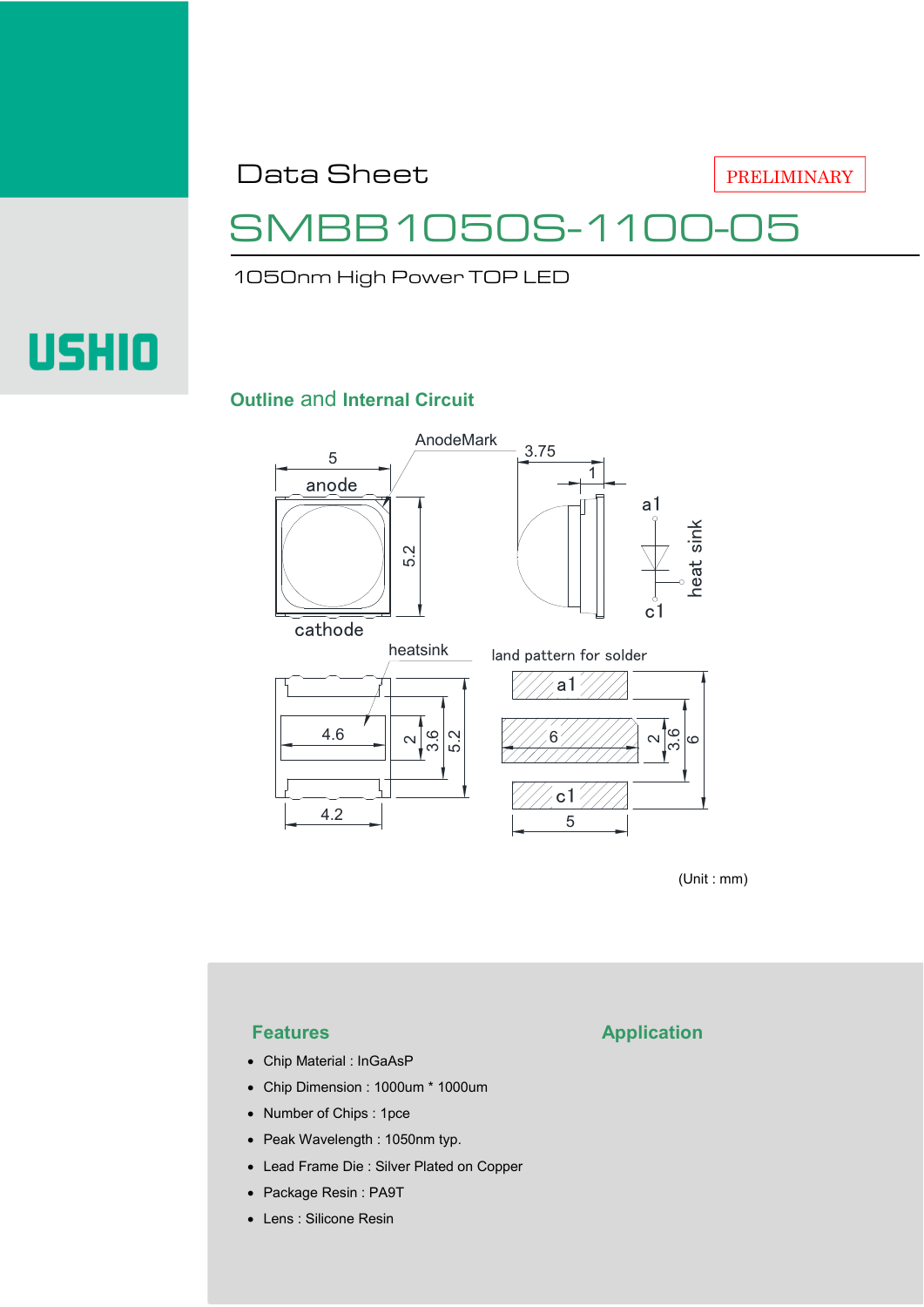Data Sheet

PRELIMINARY

## 31050S-110

1050nm High Power TOP LED

# **USHIO**

#### **Outline** and **Internal Circuit**



(Unit : mm)

- Chip Material : InGaAsP
- Chip Dimension : 1000um \* 1000um
- Number of Chips : 1pce
- Peak Wavelength : 1050nm typ.
- Lead Frame Die : Silver Plated on Copper
- Package Resin : PA9T
- Lens : Silicone Resin

### **Features Application**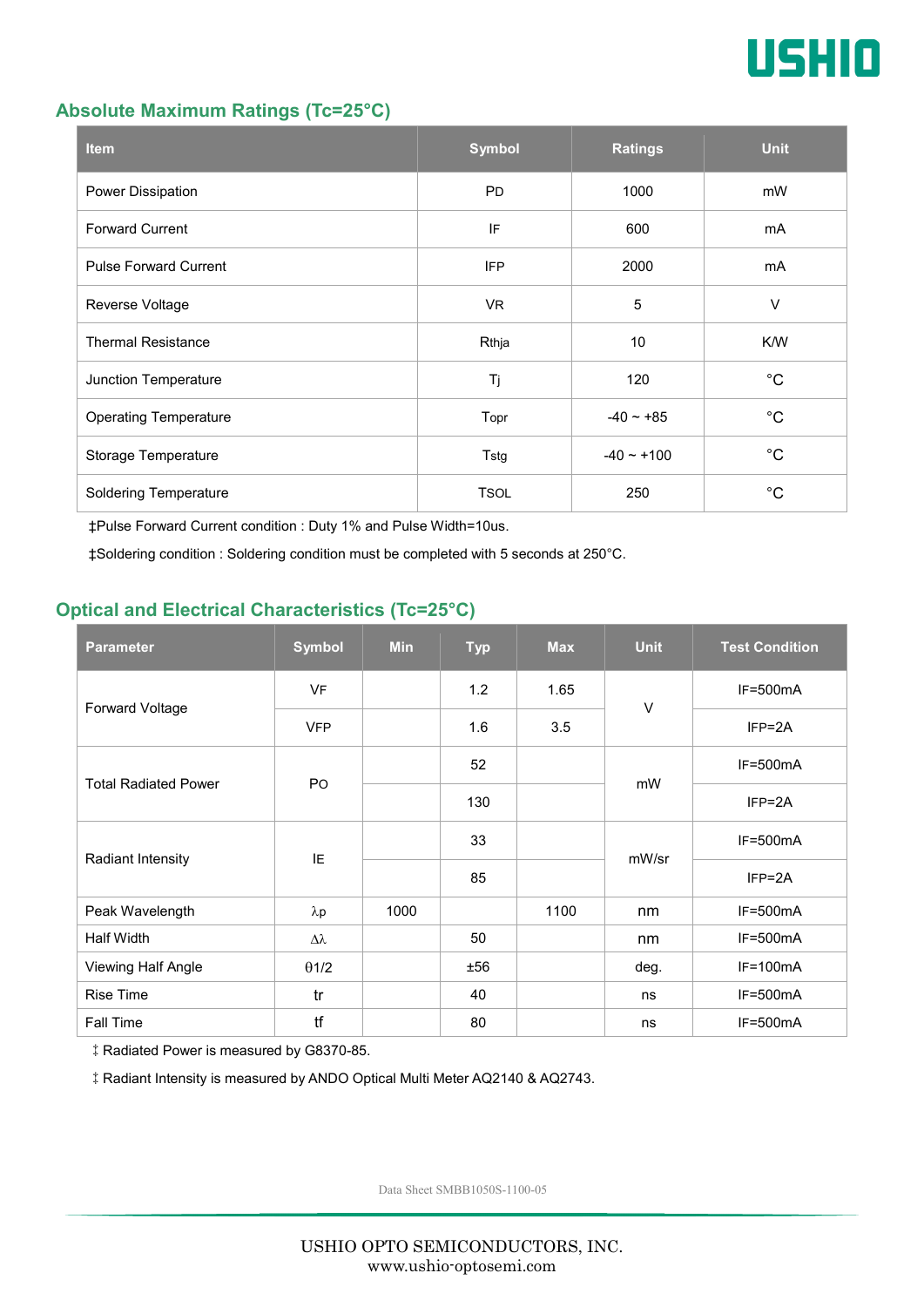

#### **Absolute Maximum Ratings (Tc=25°C)**

| <b>Item</b>                  | <b>Symbol</b> | <b>Ratings</b> | <b>Unit</b> |
|------------------------------|---------------|----------------|-------------|
| Power Dissipation            | <b>PD</b>     | 1000           | mW          |
| <b>Forward Current</b>       | IF            | 600            |             |
| <b>Pulse Forward Current</b> | <b>IFP</b>    | 2000           | mA          |
| Reverse Voltage              | VR.           | $\sqrt{5}$     | $\vee$      |
| <b>Thermal Resistance</b>    | Rthja         | 10             | K/W         |
| Junction Temperature         | Tj            | 120            | $^{\circ}C$ |
| <b>Operating Temperature</b> | Topr          | $-40 - +85$    | $^{\circ}C$ |
| Storage Temperature          | Tstg          | $-40 - +100$   | $^{\circ}C$ |
| <b>Soldering Temperature</b> | <b>TSOL</b>   | 250            | $^{\circ}C$ |

‡Pulse Forward Current condition : Duty 1% and Pulse Width=10us.

‡Soldering condition : Soldering condition must be completed with 5 seconds at 250°C.

#### **Optical and Electrical Characteristics (Tc=25°C)**

| <b>Parameter</b>            | <b>Symbol</b>    | <b>Min</b> | <b>Typ</b> | <b>Max</b> | <b>Unit</b> | <b>Test Condition</b> |
|-----------------------------|------------------|------------|------------|------------|-------------|-----------------------|
| Forward Voltage             | <b>VF</b>        |            | 1.2        | 1.65       | $\vee$      | $IF=500mA$            |
|                             | <b>VFP</b>       |            | 1.6        | 3.5        |             | $IFP = 2A$            |
| <b>Total Radiated Power</b> | P <sub>O</sub>   |            | 52         |            | mW          | $IF=500mA$            |
|                             |                  |            | 130        |            |             | $IFP = 2A$            |
| Radiant Intensity           | IE               |            | 33         |            | mW/sr       | $IF=500mA$            |
|                             |                  |            | 85         |            |             | $IFP = 2A$            |
| Peak Wavelength             | $\lambda$ p      | 1000       |            | 1100       | nm          | $IF=500mA$            |
| <b>Half Width</b>           | $\Delta \lambda$ |            | 50         |            | nm          | $IF=500mA$            |
| Viewing Half Angle          | $\theta$ 1/2     |            | ±56        |            | deg.        | $IF=100mA$            |
| <b>Rise Time</b>            | tr               |            | 40         |            | ns          | $IF=500mA$            |
| Fall Time                   | tf               |            | 80         |            | ns          | $IF=500mA$            |

‡Radiated Power is measured by G8370-85.

‡Radiant Intensity is measured by ANDO Optical Multi Meter AQ2140 & AQ2743.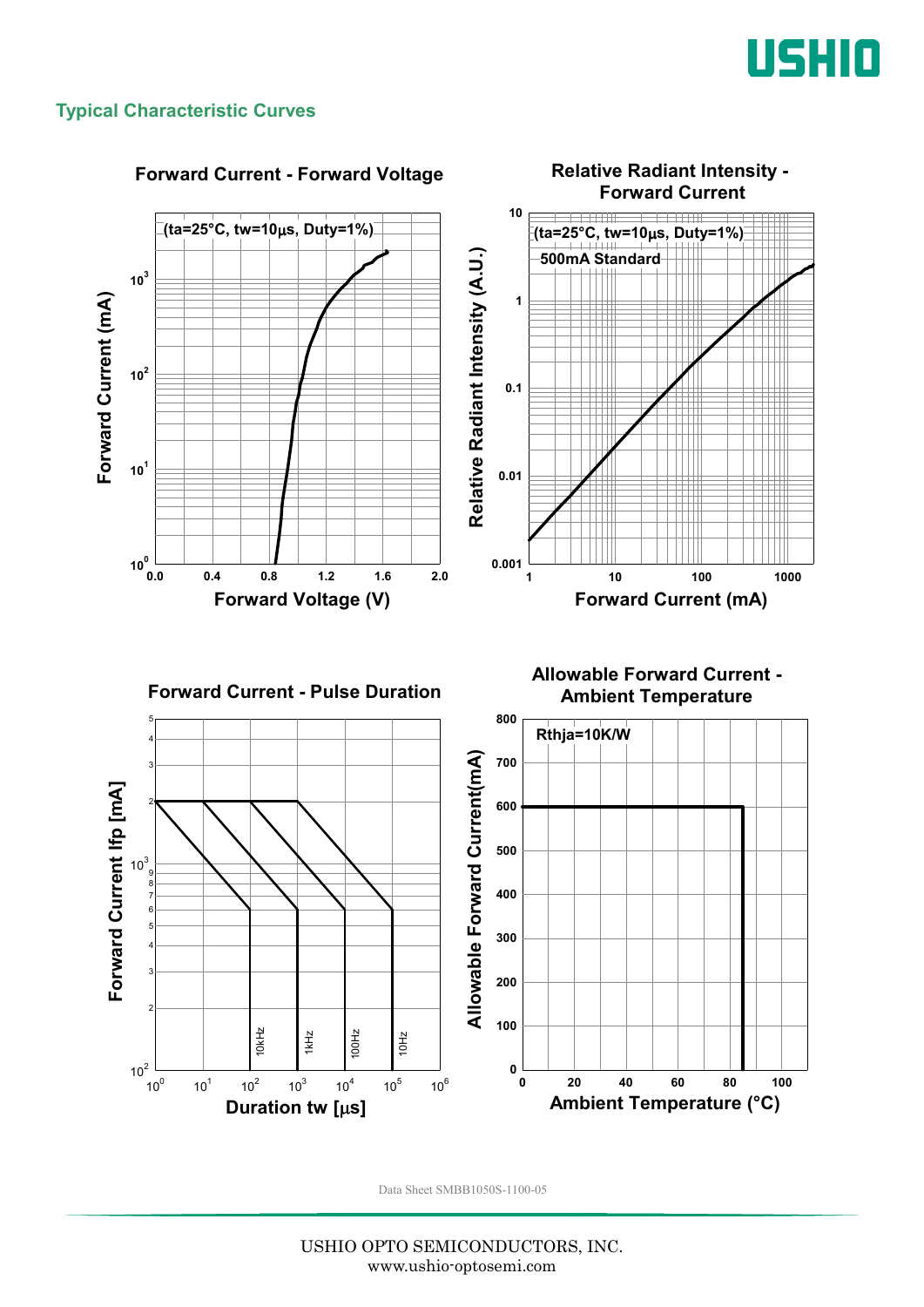

#### **Typical Characteristic Curves**

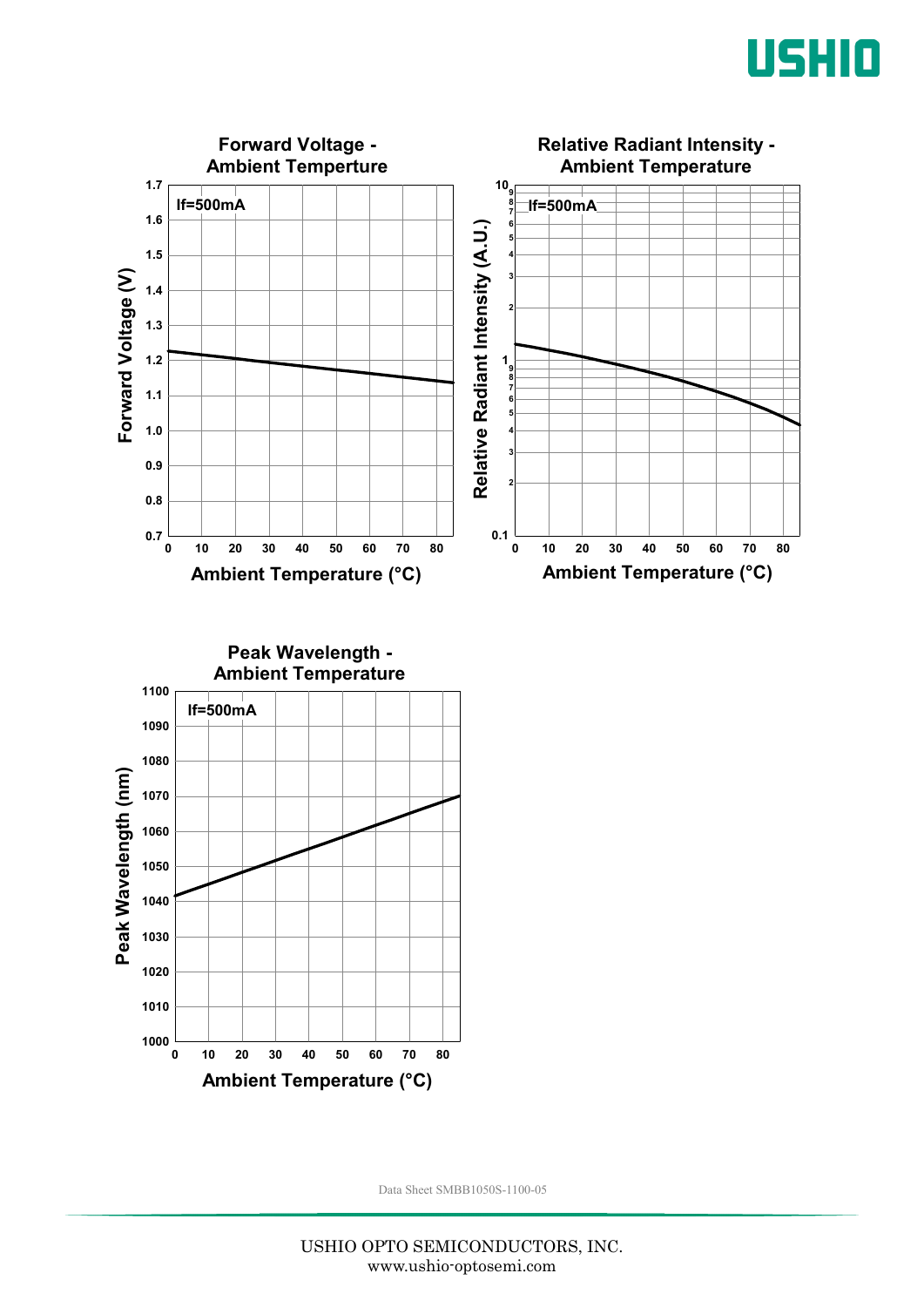



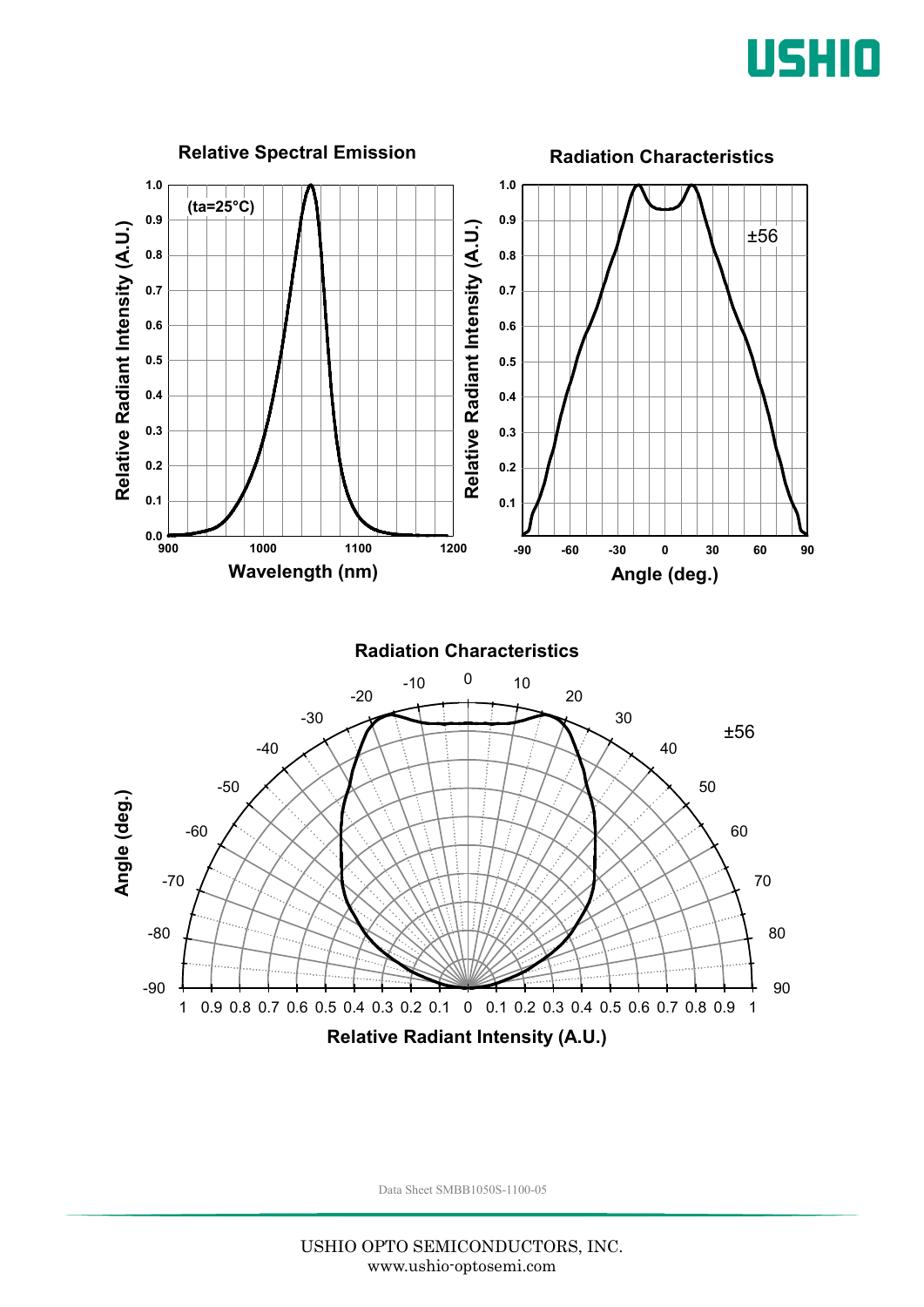

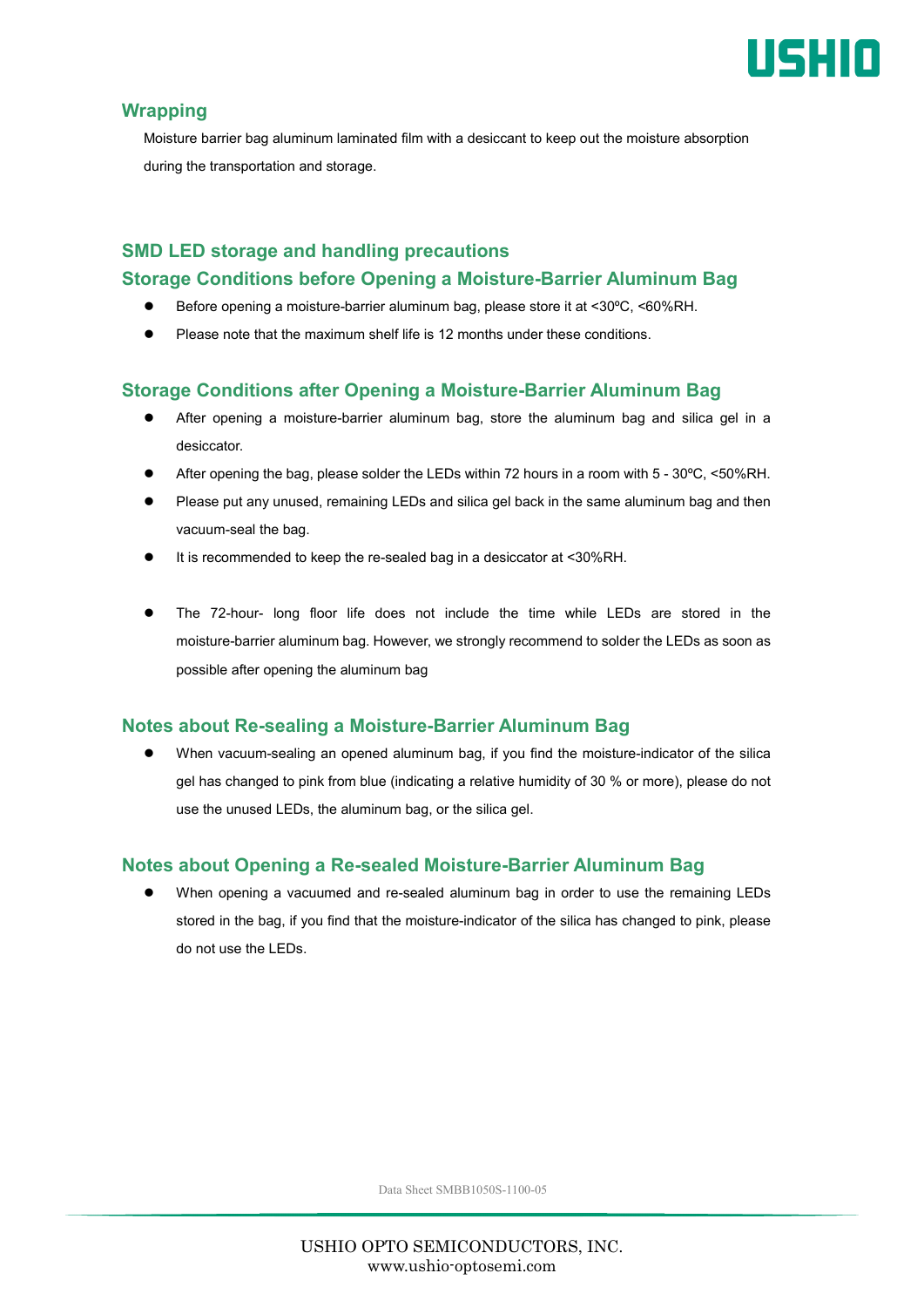

#### **Wrapping**

Moisture barrier bag aluminum laminated film with a desiccant to keep out the moisture absorption during the transportation and storage.

#### **SMD LED storage and handling precautions Storage Conditions before Opening a Moisture-Barrier Aluminum Bag**

- Before opening a moisture-barrier aluminum bag, please store it at <30ºC, <60%RH.
- Please note that the maximum shelf life is 12 months under these conditions.

#### **Storage Conditions after Opening a Moisture-Barrier Aluminum Bag**

- After opening a moisture-barrier aluminum bag, store the aluminum bag and silica gel in a desiccator.
- After opening the bag, please solder the LEDs within 72 hours in a room with 5 30ºC, <50%RH.
- Please put any unused, remaining LEDs and silica gel back in the same aluminum bag and then vacuum-seal the bag.
- It is recommended to keep the re-sealed bag in a desiccator at <30%RH.
- The 72-hour- long floor life does not include the time while LEDs are stored in the moisture-barrier aluminum bag. However, we strongly recommend to solder the LEDs as soon as possible after opening the aluminum bag

#### **Notes about Re-sealing a Moisture-Barrier Aluminum Bag**

 When vacuum-sealing an opened aluminum bag, if you find the moisture-indicator of the silica gel has changed to pink from blue (indicating a relative humidity of 30 % or more), please do not use the unused LEDs, the aluminum bag, or the silica gel.

#### **Notes about Opening a Re-sealed Moisture-Barrier Aluminum Bag**

 When opening a vacuumed and re-sealed aluminum bag in order to use the remaining LEDs stored in the bag, if you find that the moisture-indicator of the silica has changed to pink, please do not use the LEDs.